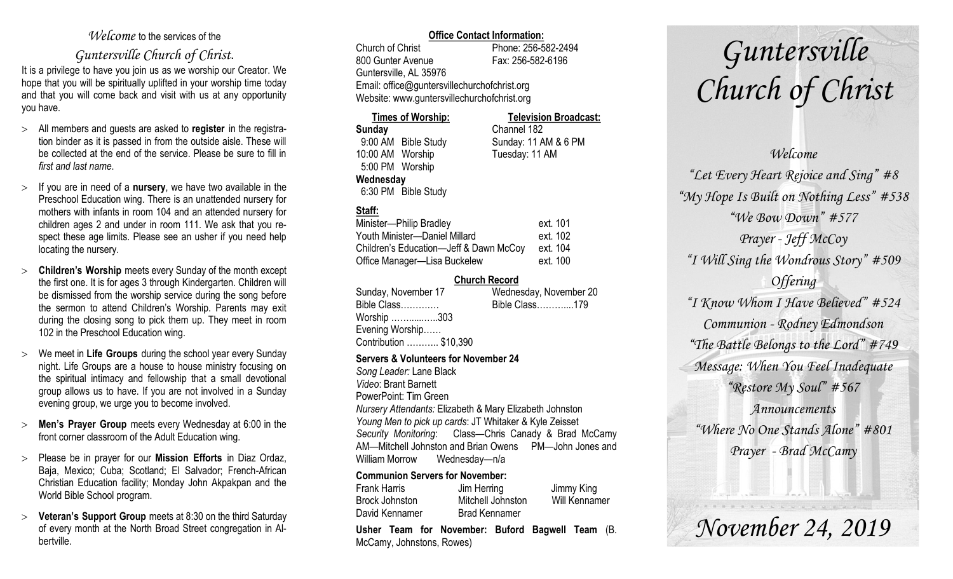## *Welcome* to the services of the

# *Guntersville Church of Christ*.

It is a privilege to have you join us as we worship our Creator. We hope that you will be spiritually uplifted in your worship time today and that you will come back and visit with us at any opportunity you have.

- All members and guests are asked to **register** in the registration binder as it is passed in from the outside aisle. These will be collected at the end of the service. Please be sure to fill in *first and last name*.
- $\geq$  If you are in need of a **nursery**, we have two available in the Preschool Education wing. There is an unattended nursery for mothers with infants in room 104 and an attended nursery for children ages 2 and under in room 111. We ask that you respect these age limits. Please see an usher if you need help locating the nursery.
- **Children's Worship** meets every Sunday of the month except the first one. It is for ages 3 through Kindergarten. Children will be dismissed from the worship service during the song before the sermon to attend Children's Worship. Parents may exit during the closing song to pick them up. They meet in room 102 in the Preschool Education wing.
- We meet in **Life Groups** during the school year every Sunday night. Life Groups are a house to house ministry focusing on the spiritual intimacy and fellowship that a small devotional group allows us to have. If you are not involved in a Sunday evening group, we urge you to become involved.
- **Men's Prayer Group** meets every Wednesday at 6:00 in the front corner classroom of the Adult Education wing.
- Please be in prayer for our **Mission Efforts** in Diaz Ordaz, Baja, Mexico; Cuba; Scotland; El Salvador; French-African Christian Education facility; Monday John Akpakpan and the World Bible School program.
- **Veteran's Support Group** meets at 8:30 on the third Saturday of every month at the North Broad Street congregation in Albertville.

#### **Office Contact Information:**

Church of Christ Phone: 256-582-2494 800 Gunter Avenue Fax: 256-582-6196 Guntersville, AL 35976 Email: office@guntersvillechurchofchrist.org Website: www.guntersvillechurchofchrist.org

#### **Times of Worship: Television Broadcast: Sunday** Channel 182 9:00 AM Bible Study Sunday: 11 AM & 6 PM 10:00 AM Worship Tuesday: 11 AM 5:00 PM Worship

#### **Wednesday**

6:30 PM Bible Study

## **Staff:**

| Minister-Philip Bradley                | ext. 101 |
|----------------------------------------|----------|
| Youth Minister-Daniel Millard          | ext. 102 |
| Children's Education-Jeff & Dawn McCoy | ext. 104 |
| Office Manager-Lisa Buckelew           | ext. 100 |

#### **Church Record**

| Sunday, November 17    | Wednesday, November 20 |
|------------------------|------------------------|
| Bible Class            | Bible Class179         |
| Worship 303            |                        |
| Evening Worship        |                        |
| Contribution  \$10,390 |                        |

#### **Servers & Volunteers for November 24**

*Song Leader:* Lane Black *Video*: Brant Barnett PowerPoint: Tim Green *Nursery Attendants:* Elizabeth & Mary Elizabeth Johnston *Young Men to pick up cards*: JT Whitaker & Kyle Zeisset *Security Monitoring*: Class—Chris Canady & Brad McCamy AM—Mitchell Johnston and Brian Owens PM—John Jones and William Morrow Wednesday—n/a

#### **Communion Servers for November:**

|                     | Llehar Taam for November: Buford Bagwell | <b>Taam</b>          |
|---------------------|------------------------------------------|----------------------|
| David Kennamer      | <b>Brad Kennamer</b>                     |                      |
| Brock Johnston      | Mitchell Johnston                        | <b>Will Kennamer</b> |
| <b>Frank Harris</b> | Jim Herring                              | Jimmy King           |

**Usher Team for November: Buford Bagwell Team** (B. McCamy, Johnstons, Rowes)

# *Guntersville Church of Christ*

## *Welcome*

*"Let Every Heart Rejoice and Sing" #8 "My Hope Is Built on Nothing Less" #538 "We Bow Down" #577 Prayer - Jeff McCoy "I Will Sing the Wondrous Story" #509 Offering "I Know Whom I Have Believed" #524 Communion - Rodney Edmondson "The Battle Belongs to the Lord" #749 Message: When You Feel Inadequate "Restore My Soul" #567 Announcements "Where No One Stands Alone" #801 Prayer - Brad McCamy*

*November 24, 2019*